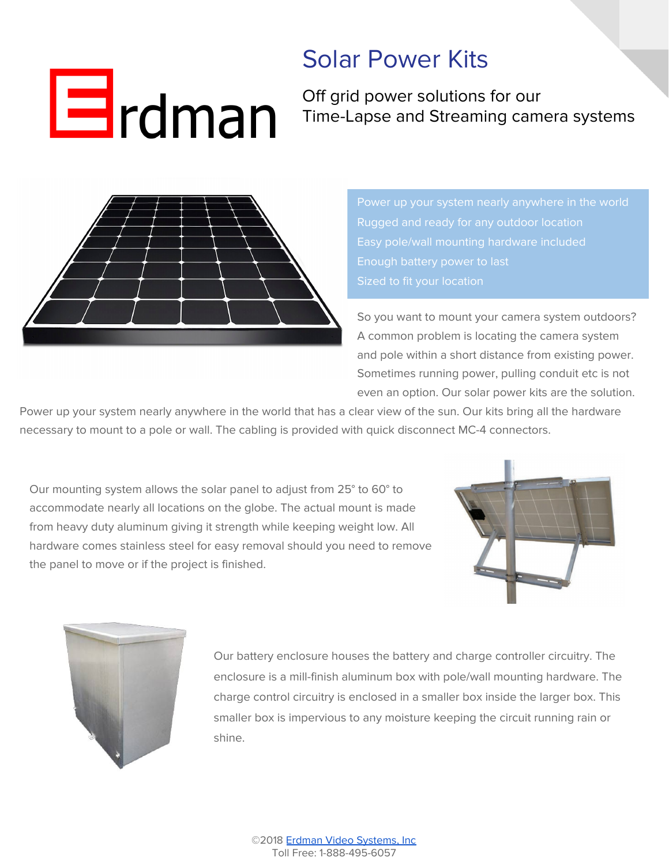## $\mathbf{E}$ rdman

## Solar Power Kits

Off grid power solutions for our Time-Lapse and Streaming camera systems



Rugged and ready for any outdoor location

So you want to mount your camera system outdoors? A common problem is locating the camera system and pole within a short distance from existing power. Sometimes running power, pulling conduit etc is not even an option. Our solar power kits are the solution.

Power up your system nearly anywhere in the world that has a clear view of the sun. Our kits bring all the hardware necessary to mount to a pole or wall. The cabling is provided with quick disconnect MC-4 connectors.

Our mounting system allows the solar panel to adjust from 25° to 60° to accommodate nearly all locations on the globe. The actual mount is made from heavy duty aluminum giving it strength while keeping weight low. All hardware comes stainless steel for easy removal should you need to remove the panel to move or if the project is finished.





Our battery enclosure houses the battery and charge controller circuitry. The enclosure is a mill-finish aluminum box with pole/wall mounting hardware. The charge control circuitry is enclosed in a smaller box inside the larger box. This smaller box is impervious to any moisture keeping the circuit running rain or shine.